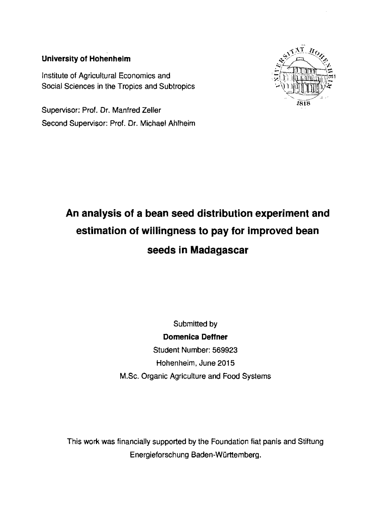## **University of Hohenheim**

Institute of Agricultural Economics and Social Sciences in the Tropics and Subtropics

Supervisor: Prof. Dr. Manfred Zeller Second Supervisor: Prof. Dr. Michael Ahlheim



## **An analysis of a bean seed distribution experiment and estimation of willingness to pay for improved bean seeds in Madagascar**

Submitted **by Domenica DeHner**  Student Number: 569923 Hohenheim, June 2015 M.Sc. Organic Agriculture and Food Systems

This work was financially supported **by** the Foundation fiat panis and Stiftung Energieforschung Baden-Württemberg.